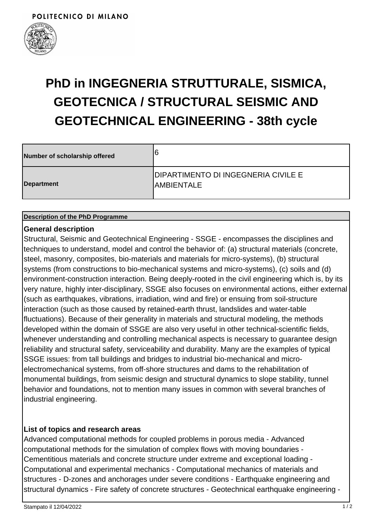

| Number of scholarship offered | 6                                                         |
|-------------------------------|-----------------------------------------------------------|
| Department                    | <b>DIPARTIMENTO DI INGEGNERIA CIVILE E</b><br>IAMBIENTALE |

#### **Description of the PhD Programme**

#### **General description**

Structural, Seismic and Geotechnical Engineering - SSGE - encompasses the disciplines and techniques to understand, model and control the behavior of: (a) structural materials (concrete, steel, masonry, composites, bio-materials and materials for micro-systems), (b) structural systems (from constructions to bio-mechanical systems and micro-systems), (c) soils and (d) environment-construction interaction. Being deeply-rooted in the civil engineering which is, by its very nature, highly inter-disciplinary, SSGE also focuses on environmental actions, either external (such as earthquakes, vibrations, irradiation, wind and fire) or ensuing from soil-structure interaction (such as those caused by retained-earth thrust, landslides and water-table fluctuations). Because of their generality in materials and structural modeling, the methods developed within the domain of SSGE are also very useful in other technical-scientific fields, whenever understanding and controlling mechanical aspects is necessary to guarantee design reliability and structural safety, serviceability and durability. Many are the examples of typical SSGE issues: from tall buildings and bridges to industrial bio-mechanical and microelectromechanical systems, from off-shore structures and dams to the rehabilitation of monumental buildings, from seismic design and structural dynamics to slope stability, tunnel behavior and foundations, not to mention many issues in common with several branches of industrial engineering.

### **List of topics and research areas**

Advanced computational methods for coupled problems in porous media - Advanced computational methods for the simulation of complex flows with moving boundaries - Cementitious materials and concrete structure under extreme and exceptional loading - Computational and experimental mechanics - Computational mechanics of materials and structures - D-zones and anchorages under severe conditions - Earthquake engineering and structural dynamics - Fire safety of concrete structures - Geotechnical earthquake engineering -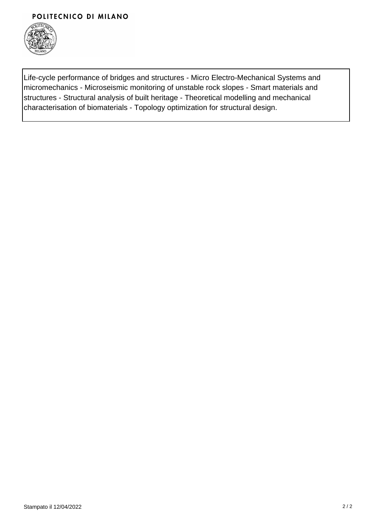#### POLITECNICO DI MILANO



Life-cycle performance of bridges and structures - Micro Electro-Mechanical Systems and micromechanics - Microseismic monitoring of unstable rock slopes - Smart materials and structures - Structural analysis of built heritage - Theoretical modelling and mechanical characterisation of biomaterials - Topology optimization for structural design.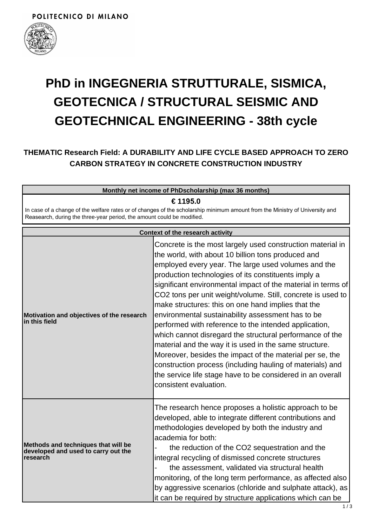

## **THEMATIC Research Field: A DURABILITY AND LIFE CYCLE BASED APPROACH TO ZERO CARBON STRATEGY IN CONCRETE CONSTRUCTION INDUSTRY**

| Monthly net income of PhDscholarship (max 36 months)                                                                                                                                                               |                                                                                                                                                                                                                                                                                                                                                                                                                                                                                                                                                                                                                                                                                                                                                                                                                                                                          |
|--------------------------------------------------------------------------------------------------------------------------------------------------------------------------------------------------------------------|--------------------------------------------------------------------------------------------------------------------------------------------------------------------------------------------------------------------------------------------------------------------------------------------------------------------------------------------------------------------------------------------------------------------------------------------------------------------------------------------------------------------------------------------------------------------------------------------------------------------------------------------------------------------------------------------------------------------------------------------------------------------------------------------------------------------------------------------------------------------------|
| € 1195.0<br>In case of a change of the welfare rates or of changes of the scholarship minimum amount from the Ministry of University and<br>Reasearch, during the three-year period, the amount could be modified. |                                                                                                                                                                                                                                                                                                                                                                                                                                                                                                                                                                                                                                                                                                                                                                                                                                                                          |
|                                                                                                                                                                                                                    | <b>Context of the research activity</b>                                                                                                                                                                                                                                                                                                                                                                                                                                                                                                                                                                                                                                                                                                                                                                                                                                  |
| Motivation and objectives of the research<br>in this field                                                                                                                                                         | Concrete is the most largely used construction material in<br>the world, with about 10 billion tons produced and<br>employed every year. The large used volumes and the<br>production technologies of its constituents imply a<br>significant environmental impact of the material in terms of<br>CO2 tons per unit weight/volume. Still, concrete is used to<br>make structures: this on one hand implies that the<br>environmental sustainability assessment has to be<br>performed with reference to the intended application,<br>which cannot disregard the structural performance of the<br>material and the way it is used in the same structure.<br>Moreover, besides the impact of the material per se, the<br>construction process (including hauling of materials) and<br>the service life stage have to be considered in an overall<br>consistent evaluation. |
| Methods and techniques that will be<br>developed and used to carry out the<br>research                                                                                                                             | The research hence proposes a holistic approach to be<br>developed, able to integrate different contributions and<br>methodologies developed by both the industry and<br>academia for both:<br>the reduction of the CO2 sequestration and the<br>integral recycling of dismissed concrete structures<br>the assessment, validated via structural health<br>monitoring, of the long term performance, as affected also<br>by aggressive scenarios (chloride and sulphate attack), as<br>it can be required by structure applications which can be                                                                                                                                                                                                                                                                                                                         |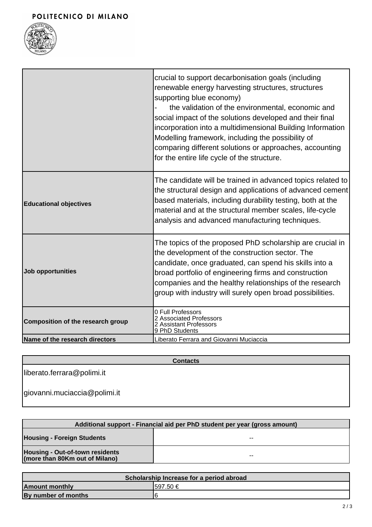

|                                   | crucial to support decarbonisation goals (including<br>renewable energy harvesting structures, structures<br>supporting blue economy)<br>the validation of the environmental, economic and<br>social impact of the solutions developed and their final<br>incorporation into a multidimensional Building Information<br>Modelling framework, including the possibility of<br>comparing different solutions or approaches, accounting<br>for the entire life cycle of the structure. |
|-----------------------------------|-------------------------------------------------------------------------------------------------------------------------------------------------------------------------------------------------------------------------------------------------------------------------------------------------------------------------------------------------------------------------------------------------------------------------------------------------------------------------------------|
| <b>Educational objectives</b>     | The candidate will be trained in advanced topics related to<br>the structural design and applications of advanced cement<br>based materials, including durability testing, both at the<br>material and at the structural member scales, life-cycle<br>analysis and advanced manufacturing techniques.                                                                                                                                                                               |
| Job opportunities                 | The topics of the proposed PhD scholarship are crucial in<br>the development of the construction sector. The<br>candidate, once graduated, can spend his skills into a<br>broad portfolio of engineering firms and construction<br>companies and the healthy relationships of the research<br>group with industry will surely open broad possibilities.                                                                                                                             |
| Composition of the research group | 0 Full Professors<br>2 Associated Professors<br>2 Assistant Professors<br>9 PhD Students                                                                                                                                                                                                                                                                                                                                                                                            |
| Name of the research directors    | Liberato Ferrara and Giovanni Muciaccia                                                                                                                                                                                                                                                                                                                                                                                                                                             |

**Contacts**

liberato.ferrara@polimi.it

giovanni.muciaccia@polimi.it

| Additional support - Financial aid per PhD student per year (gross amount) |       |
|----------------------------------------------------------------------------|-------|
| <b>Housing - Foreign Students</b>                                          | --    |
| <b>Housing - Out-of-town residents</b><br>(more than 80Km out of Milano)   | $- -$ |

| Scholarship Increase for a period abroad |           |
|------------------------------------------|-----------|
| <b>Amount monthly</b>                    | I597.50 € |
| By number of months                      |           |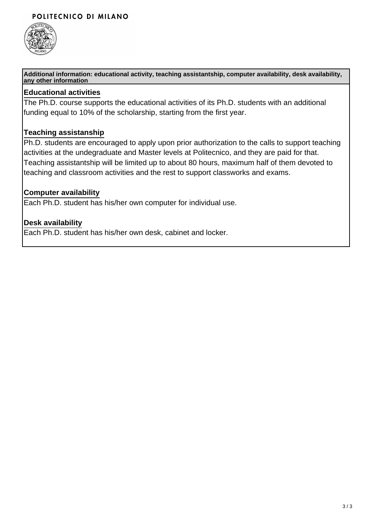#### POLITECNICO DI MILANO



**Additional information: educational activity, teaching assistantship, computer availability, desk availability, any other information**

#### **Educational activities**

The Ph.D. course supports the educational activities of its Ph.D. students with an additional funding equal to 10% of the scholarship, starting from the first year.

#### **Teaching assistanship**

Ph.D. students are encouraged to apply upon prior authorization to the calls to support teaching activities at the undegraduate and Master levels at Politecnico, and they are paid for that. Teaching assistantship will be limited up to about 80 hours, maximum half of them devoted to teaching and classroom activities and the rest to support classworks and exams.

#### **Computer availability**

Each Ph.D. student has his/her own computer for individual use.

#### **Desk availability**

Each Ph.D. student has his/her own desk, cabinet and locker.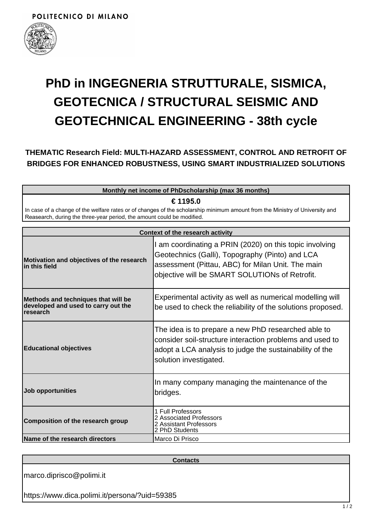

## **THEMATIC Research Field: MULTI-HAZARD ASSESSMENT, CONTROL AND RETROFIT OF BRIDGES FOR ENHANCED ROBUSTNESS, USING SMART INDUSTRIALIZED SOLUTIONS**

| Monthly net income of PhDscholarship (max 36 months)                                                                                                                                                   |                                                                                                                                                                                                                                            |
|--------------------------------------------------------------------------------------------------------------------------------------------------------------------------------------------------------|--------------------------------------------------------------------------------------------------------------------------------------------------------------------------------------------------------------------------------------------|
| € 1195.0                                                                                                                                                                                               |                                                                                                                                                                                                                                            |
| In case of a change of the welfare rates or of changes of the scholarship minimum amount from the Ministry of University and<br>Reasearch, during the three-year period, the amount could be modified. |                                                                                                                                                                                                                                            |
|                                                                                                                                                                                                        |                                                                                                                                                                                                                                            |
| Context of the research activity                                                                                                                                                                       |                                                                                                                                                                                                                                            |
| Motivation and objectives of the research<br>in this field                                                                                                                                             | I am coordinating a PRIN (2020) on this topic involving<br>Geotechnics (Galli), Topography (Pinto) and LCA<br>assessment (Pittau, ABC) for Milan Unit. The main<br>$\alpha$ objective will be $\alpha$ MADT $\alpha$ OLLITIONs of Detrofit |

|                                                                                                | objective will be SMART SOLUTIONs of Retrofit.                                                                                                                                                       |
|------------------------------------------------------------------------------------------------|------------------------------------------------------------------------------------------------------------------------------------------------------------------------------------------------------|
| Methods and techniques that will be<br>developed and used to carry out the<br><b>Iresearch</b> | Experimental activity as well as numerical modelling will<br>be used to check the reliability of the solutions proposed.                                                                             |
| <b>Educational objectives</b>                                                                  | The idea is to prepare a new PhD researched able to<br>consider soil-structure interaction problems and used to<br>adopt a LCA analysis to judge the sustainability of the<br>solution investigated. |
| Job opportunities                                                                              | In many company managing the maintenance of the<br>bridges.                                                                                                                                          |
| Composition of the research group                                                              | 1 Full Professors<br>2 Associated Professors<br>2 Assistant Professors<br>2 PhD Students                                                                                                             |
| Name of the research directors                                                                 | Marco Di Prisco                                                                                                                                                                                      |

**Contacts**

marco.diprisco@polimi.it

https://www.dica.polimi.it/persona/?uid=59385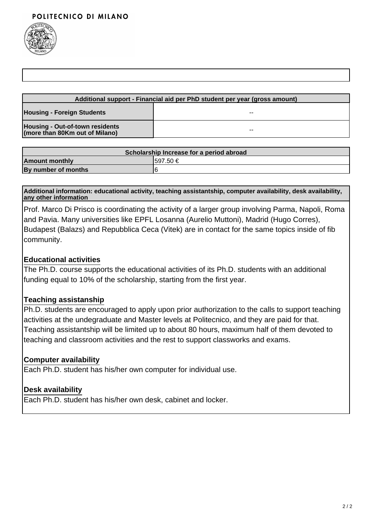

| Additional support - Financial aid per PhD student per year (gross amount) |       |
|----------------------------------------------------------------------------|-------|
| <b>Housing - Foreign Students</b>                                          | $- -$ |
| Housing - Out-of-town residents<br>(more than 80Km out of Milano)          | --    |

| Scholarship Increase for a period abroad |           |
|------------------------------------------|-----------|
| <b>Amount monthly</b>                    | 1597.50 € |
| By number of months                      |           |

**Additional information: educational activity, teaching assistantship, computer availability, desk availability, any other information**

Prof. Marco Di Prisco is coordinating the activity of a larger group involving Parma, Napoli, Roma and Pavia. Many universities like EPFL Losanna (Aurelio Muttoni), Madrid (Hugo Corres), Budapest (Balazs) and Repubblica Ceca (Vitek) are in contact for the same topics inside of fib community.

#### **Educational activities**

The Ph.D. course supports the educational activities of its Ph.D. students with an additional funding equal to 10% of the scholarship, starting from the first year.

### **Teaching assistanship**

Ph.D. students are encouraged to apply upon prior authorization to the calls to support teaching activities at the undegraduate and Master levels at Politecnico, and they are paid for that. Teaching assistantship will be limited up to about 80 hours, maximum half of them devoted to teaching and classroom activities and the rest to support classworks and exams.

### **Computer availability**

Each Ph.D. student has his/her own computer for individual use.

### **Desk availability**

Each Ph.D. student has his/her own desk, cabinet and locker.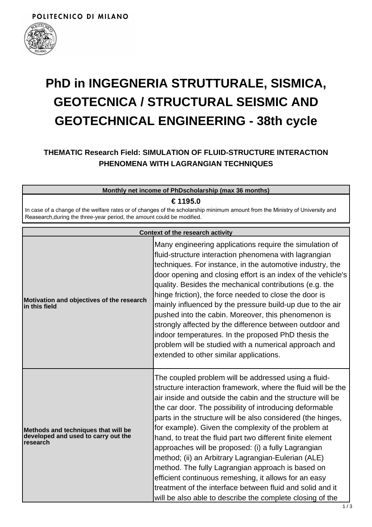

## **THEMATIC Research Field: SIMULATION OF FLUID-STRUCTURE INTERACTION PHENOMENA WITH LAGRANGIAN TECHNIQUES**

| Monthly net income of PhDscholarship (max 36 months)                                                                                                                                                               |                                                                                                                                                                                                                                                                                                                                                                                                                                                                                                                                                                                                                                                                                                                                                                                          |
|--------------------------------------------------------------------------------------------------------------------------------------------------------------------------------------------------------------------|------------------------------------------------------------------------------------------------------------------------------------------------------------------------------------------------------------------------------------------------------------------------------------------------------------------------------------------------------------------------------------------------------------------------------------------------------------------------------------------------------------------------------------------------------------------------------------------------------------------------------------------------------------------------------------------------------------------------------------------------------------------------------------------|
| € 1195.0<br>In case of a change of the welfare rates or of changes of the scholarship minimum amount from the Ministry of University and<br>Reasearch, during the three-year period, the amount could be modified. |                                                                                                                                                                                                                                                                                                                                                                                                                                                                                                                                                                                                                                                                                                                                                                                          |
|                                                                                                                                                                                                                    | <b>Context of the research activity</b>                                                                                                                                                                                                                                                                                                                                                                                                                                                                                                                                                                                                                                                                                                                                                  |
| Motivation and objectives of the research<br>in this field                                                                                                                                                         | Many engineering applications require the simulation of<br>fluid-structure interaction phenomena with lagrangian<br>techniques. For instance, in the automotive industry, the<br>door opening and closing effort is an index of the vehicle's<br>quality. Besides the mechanical contributions (e.g. the<br>hinge friction), the force needed to close the door is<br>mainly influenced by the pressure build-up due to the air<br>pushed into the cabin. Moreover, this phenomenon is<br>strongly affected by the difference between outdoor and<br>indoor temperatures. In the proposed PhD thesis the<br>problem will be studied with a numerical approach and<br>extended to other similar applications.                                                                             |
| Methods and techniques that will be<br>developed and used to carry out the<br>research                                                                                                                             | The coupled problem will be addressed using a fluid-<br>structure interaction framework, where the fluid will be the<br>air inside and outside the cabin and the structure will be<br>the car door. The possibility of introducing deformable<br>parts in the structure will be also considered (the hinges,<br>for example). Given the complexity of the problem at<br>hand, to treat the fluid part two different finite element<br>approaches will be proposed: (i) a fully Lagrangian<br>method; (ii) an Arbitrary Lagrangian-Eulerian (ALE)<br>method. The fully Lagrangian approach is based on<br>efficient continuous remeshing, it allows for an easy<br>treatment of the interface between fluid and solid and it<br>will be also able to describe the complete closing of the |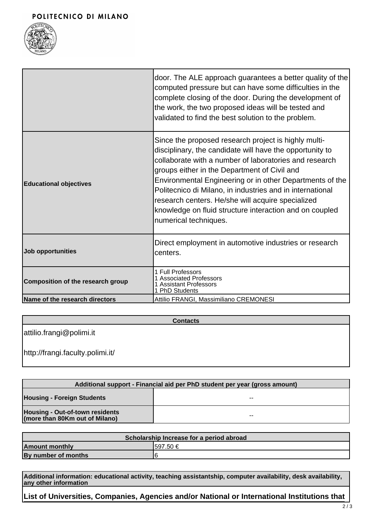#### POLITECNICO DI MILANO



|                                   | door. The ALE approach guarantees a better quality of the<br>computed pressure but can have some difficulties in the<br>complete closing of the door. During the development of<br>the work, the two proposed ideas will be tested and<br>validated to find the best solution to the problem.                                                                                                                                                                                                |
|-----------------------------------|----------------------------------------------------------------------------------------------------------------------------------------------------------------------------------------------------------------------------------------------------------------------------------------------------------------------------------------------------------------------------------------------------------------------------------------------------------------------------------------------|
| <b>Educational objectives</b>     | Since the proposed research project is highly multi-<br>disciplinary, the candidate will have the opportunity to<br>collaborate with a number of laboratories and research<br>groups either in the Department of Civil and<br>Environmental Engineering or in other Departments of the<br>Politecnico di Milano, in industries and in international<br>research centers. He/she will acquire specialized<br>knowledge on fluid structure interaction and on coupled<br>numerical techniques. |
| Job opportunities                 | Direct employment in automotive industries or research<br>centers.                                                                                                                                                                                                                                                                                                                                                                                                                           |
| Composition of the research group | 1 Full Professors<br><b>Associated Professors</b><br><b>Assistant Professors</b><br>1 PhD Students                                                                                                                                                                                                                                                                                                                                                                                           |
| Name of the research directors    | Attilio FRANGI, Massimiliano CREMONESI                                                                                                                                                                                                                                                                                                                                                                                                                                                       |

**Contacts**

attilio.frangi@polimi.it

http://frangi.faculty.polimi.it/

| Additional support - Financial aid per PhD student per year (gross amount) |       |
|----------------------------------------------------------------------------|-------|
| <b>Housing - Foreign Students</b>                                          | $- -$ |
| <b>Housing - Out-of-town residents</b><br>(more than 80Km out of Milano)   | $- -$ |

| Scholarship Increase for a period abroad |          |
|------------------------------------------|----------|
| <b>Amount monthly</b>                    | 1597.50€ |
| By number of months                      |          |

**Additional information: educational activity, teaching assistantship, computer availability, desk availability, any other information**

**List of Universities, Companies, Agencies and/or National or International Institutions that**